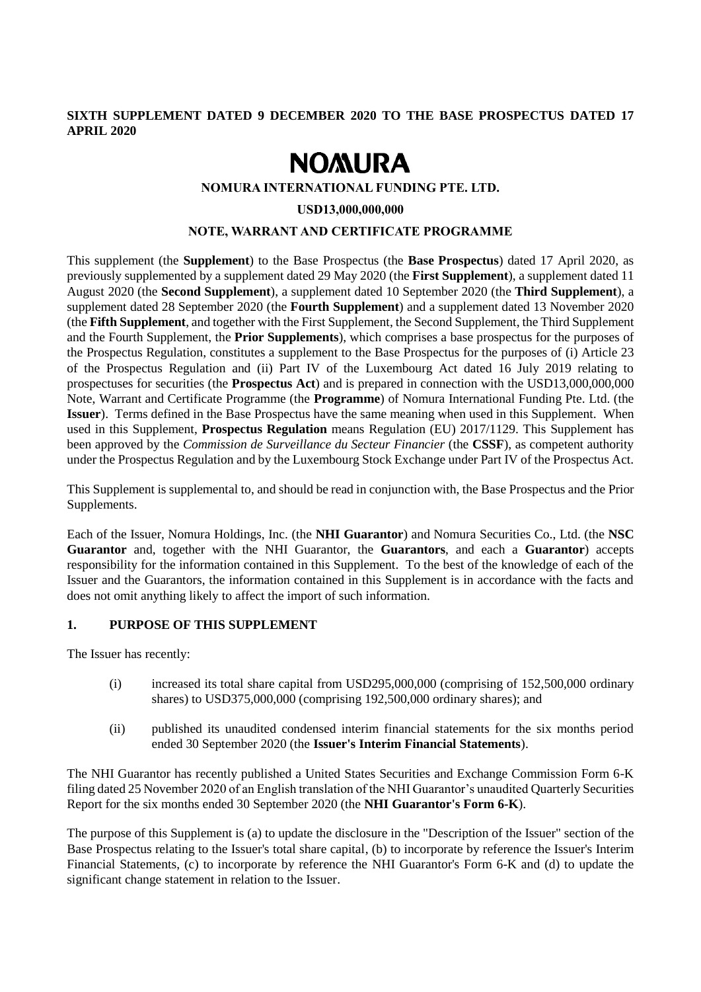#### **SIXTH SUPPLEMENT DATED 9 DECEMBER 2020 TO THE BASE PROSPECTUS DATED 17 APRIL 2020**

# **NOMURA**

#### **NOMURA INTERNATIONAL FUNDING PTE. LTD.**

**USD13,000,000,000**

#### **NOTE, WARRANT AND CERTIFICATE PROGRAMME**

This supplement (the **Supplement**) to the Base Prospectus (the **Base Prospectus**) dated 17 April 2020, as previously supplemented by a supplement dated 29 May 2020 (the **First Supplement**), a supplement dated 11 August 2020 (the **Second Supplement**), a supplement dated 10 September 2020 (the **Third Supplement**), a supplement dated 28 September 2020 (the **Fourth Supplement**) and a supplement dated 13 November 2020 (the **Fifth Supplement**, and together with the First Supplement, the Second Supplement, the Third Supplement and the Fourth Supplement, the **Prior Supplements**), which comprises a base prospectus for the purposes of the Prospectus Regulation, constitutes a supplement to the Base Prospectus for the purposes of (i) Article 23 of the Prospectus Regulation and (ii) Part IV of the Luxembourg Act dated 16 July 2019 relating to prospectuses for securities (the **Prospectus Act**) and is prepared in connection with the USD13,000,000,000 Note, Warrant and Certificate Programme (the **Programme**) of Nomura International Funding Pte. Ltd. (the **Issuer**). Terms defined in the Base Prospectus have the same meaning when used in this Supplement. When used in this Supplement, **Prospectus Regulation** means Regulation (EU) 2017/1129. This Supplement has been approved by the *Commission de Surveillance du Secteur Financier* (the **CSSF**), as competent authority under the Prospectus Regulation and by the Luxembourg Stock Exchange under Part IV of the Prospectus Act.

This Supplement is supplemental to, and should be read in conjunction with, the Base Prospectus and the Prior Supplements.

Each of the Issuer, Nomura Holdings, Inc. (the **NHI Guarantor**) and Nomura Securities Co., Ltd. (the **NSC Guarantor** and, together with the NHI Guarantor, the **Guarantors**, and each a **Guarantor**) accepts responsibility for the information contained in this Supplement. To the best of the knowledge of each of the Issuer and the Guarantors, the information contained in this Supplement is in accordance with the facts and does not omit anything likely to affect the import of such information.

#### **1. PURPOSE OF THIS SUPPLEMENT**

The Issuer has recently:

- (i) increased its total share capital from USD295,000,000 (comprising of 152,500,000 ordinary shares) to USD375,000,000 (comprising 192,500,000 ordinary shares); and
- (ii) published its unaudited condensed interim financial statements for the six months period ended 30 September 2020 (the **Issuer's Interim Financial Statements**).

The NHI Guarantor has recently published a United States Securities and Exchange Commission Form 6-K filing dated 25 November 2020 of an English translation of the NHI Guarantor's unaudited Quarterly Securities Report for the six months ended 30 September 2020 (the **NHI Guarantor's Form 6-K**).

The purpose of this Supplement is (a) to update the disclosure in the "Description of the Issuer" section of the Base Prospectus relating to the Issuer's total share capital, (b) to incorporate by reference the Issuer's Interim Financial Statements, (c) to incorporate by reference the NHI Guarantor's Form 6-K and (d) to update the significant change statement in relation to the Issuer.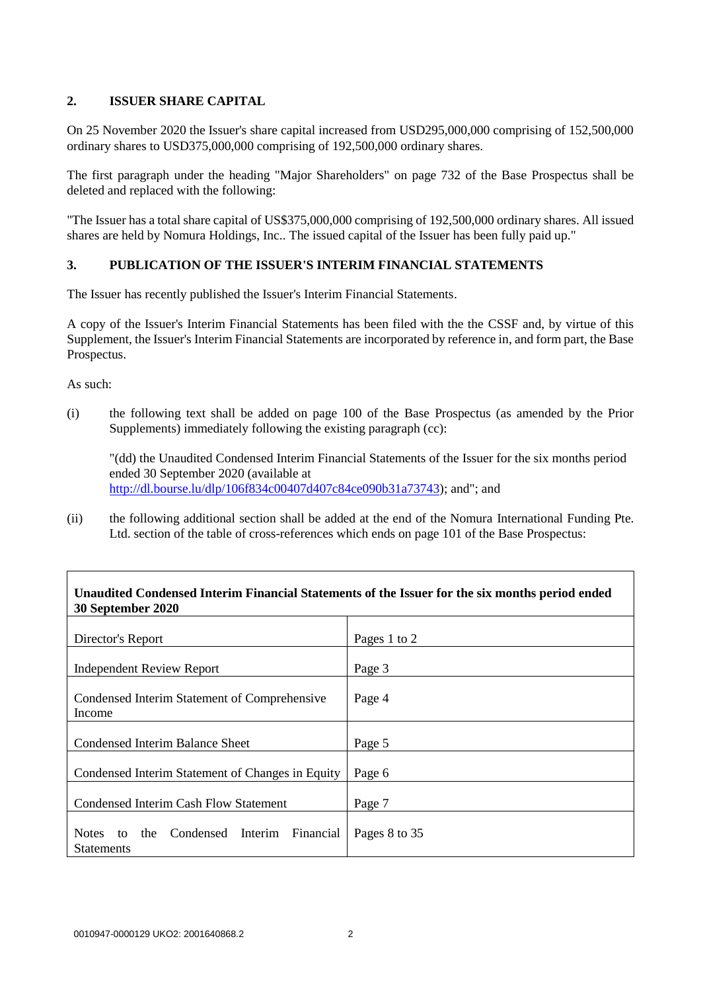## **2. ISSUER SHARE CAPITAL**

On 25 November 2020 the Issuer's share capital increased from USD295,000,000 comprising of 152,500,000 ordinary shares to USD375,000,000 comprising of 192,500,000 ordinary shares.

The first paragraph under the heading "Major Shareholders" on page 732 of the Base Prospectus shall be deleted and replaced with the following:

"The Issuer has a total share capital of US\$375,000,000 comprising of 192,500,000 ordinary shares. All issued shares are held by Nomura Holdings, Inc.. The issued capital of the Issuer has been fully paid up."

## **3. PUBLICATION OF THE ISSUER'S INTERIM FINANCIAL STATEMENTS**

The Issuer has recently published the Issuer's Interim Financial Statements.

A copy of the Issuer's Interim Financial Statements has been filed with the the CSSF and, by virtue of this Supplement, the Issuer's Interim Financial Statements are incorporated by reference in, and form part, the Base Prospectus.

As such:

(i) the following text shall be added on page 100 of the Base Prospectus (as amended by the Prior Supplements) immediately following the existing paragraph (cc):

"(dd) the Unaudited Condensed Interim Financial Statements of the Issuer for the six months period ended 30 September 2020 (available at [http://dl.bourse.lu/dlp/106f834c00407d407c84ce090b31a73743\)](http://dl.bourse.lu/dlp/106f834c00407d407c84ce090b31a73743); and"; and

(ii) the following additional section shall be added at the end of the Nomura International Funding Pte. Ltd. section of the table of cross-references which ends on page 101 of the Base Prospectus:

## **Unaudited Condensed Interim Financial Statements of the Issuer for the six months period ended 30 September 2020**

| Director's Report                                                             | Pages 1 to 2  |
|-------------------------------------------------------------------------------|---------------|
| <b>Independent Review Report</b>                                              | Page 3        |
| Condensed Interim Statement of Comprehensive<br>Income                        | Page 4        |
| <b>Condensed Interim Balance Sheet</b>                                        | Page 5        |
| Condensed Interim Statement of Changes in Equity                              | Page 6        |
| <b>Condensed Interim Cash Flow Statement</b>                                  | Page 7        |
| <b>Notes</b><br>the Condensed Interim<br>Financial<br>to<br><b>Statements</b> | Pages 8 to 35 |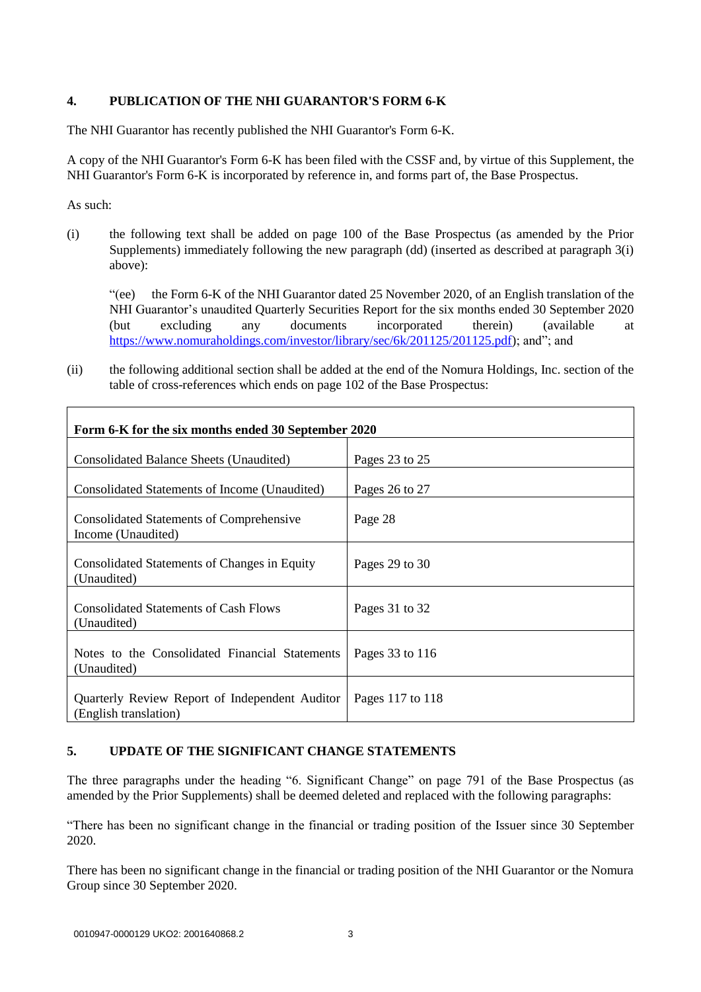## **4. PUBLICATION OF THE NHI GUARANTOR'S FORM 6-K**

The NHI Guarantor has recently published the NHI Guarantor's Form 6-K.

A copy of the NHI Guarantor's Form 6-K has been filed with the CSSF and, by virtue of this Supplement, the NHI Guarantor's Form 6-K is incorporated by reference in, and forms part of, the Base Prospectus.

As such:

(i) the following text shall be added on page 100 of the Base Prospectus (as amended by the Prior Supplements) immediately following the new paragraph (dd) (inserted as described at paragraph 3(i) above):

"(ee) the Form 6-K of the NHI Guarantor dated 25 November 2020, of an English translation of the NHI Guarantor's unaudited Quarterly Securities Report for the six months ended 30 September 2020 (but excluding any documents incorporated therein) (available at [https://www.nomuraholdings.com/investor/library/sec/6k/201125/201125.pdf\)](https://www.nomuraholdings.com/investor/library/sec/6k/201125/201125.pdf); and"; and

(ii) the following additional section shall be added at the end of the Nomura Holdings, Inc. section of the table of cross-references which ends on page 102 of the Base Prospectus:

| Form 6-K for the six months ended 30 September 2020                     |                  |
|-------------------------------------------------------------------------|------------------|
| Consolidated Balance Sheets (Unaudited)                                 | Pages 23 to 25   |
| Consolidated Statements of Income (Unaudited)                           | Pages 26 to 27   |
| <b>Consolidated Statements of Comprehensive</b><br>Income (Unaudited)   | Page 28          |
| Consolidated Statements of Changes in Equity<br>(Unaudited)             | Pages 29 to 30   |
| <b>Consolidated Statements of Cash Flows</b><br>(Unaudited)             | Pages 31 to 32   |
| Notes to the Consolidated Financial Statements<br>(Unaudited)           | Pages 33 to 116  |
| Quarterly Review Report of Independent Auditor<br>(English translation) | Pages 117 to 118 |

## **5. UPDATE OF THE SIGNIFICANT CHANGE STATEMENTS**

The three paragraphs under the heading "6. Significant Change" on page 791 of the Base Prospectus (as amended by the Prior Supplements) shall be deemed deleted and replaced with the following paragraphs:

"There has been no significant change in the financial or trading position of the Issuer since 30 September 2020.

There has been no significant change in the financial or trading position of the NHI Guarantor or the Nomura Group since 30 September 2020.